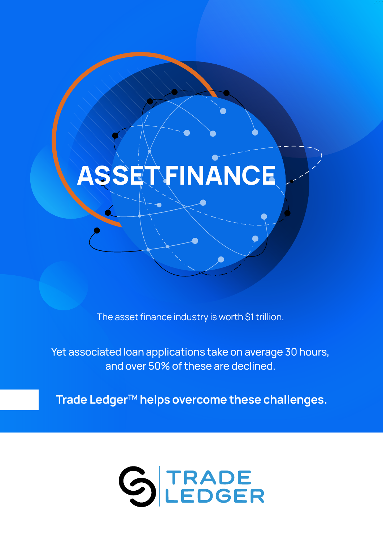# **ASSET FINANCE**

The asset finance industry is worth \$1 trillion.

Yet associated loan applications take on average 30 hours, and over 50% of these are declined.

Trade Ledger<sup>™</sup> helps overcome these challenges.

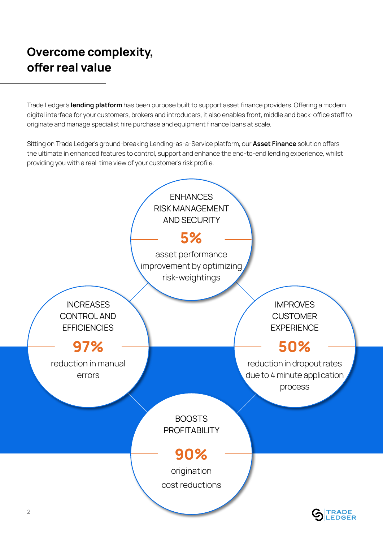## **Overcome complexity, offer real value**

Trade Ledger's **lending platform** has been purpose built to support asset finance providers. Offering a modern digital interface for your customers, brokers and introducers, it also enables front, middle and back-office staff to originate and manage specialist hire purchase and equipment finance loans at scale.

Sitting on Trade Ledger's ground-breaking Lending-as-a-Service platform, our **Asset Finance** solution offers the ultimate in enhanced features to control, support and enhance the end-to-end lending experience, whilst providing you with a real-time view of your customer's risk profile.



**EDGER**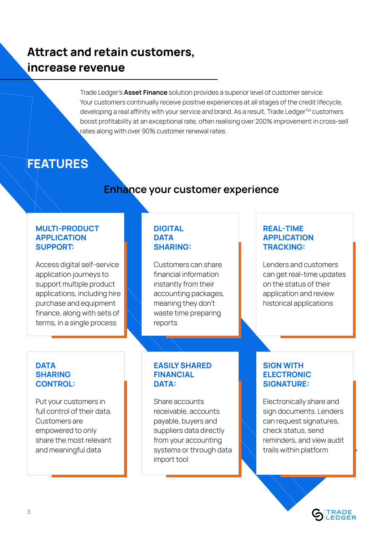### **Attract and retain customers, increase revenue**

Trade Ledger's **Asset Finance** solution provides a superior level of customer service. Your customers continually receive positive experiences at all stages of the credit lifecycle, developing a real affinity with your service and brand. As a result, Trade Ledger™ customers boost profitability at an exceptional rate, often realising over 200% improvement in cross-sell rates along with over 90% customer renewal rates.

### **FEATURES**

### **Enhance your customer experience**

#### **MULTI-PRODUCT APPLICATION SUPPORT:**

Access digital self-service application journeys to support multiple product applications, including hire purchase and equipment finance, along with sets of terms, in a single process

### **DIGITAL DATA SHARING:**

Customers can share financial information instantly from their accounting packages, meaning they don't waste time preparing reports

### **REAL-TIME APPLICATION TRACKING:**

Lenders and customers can get real-time updates on the status of their application and review historical applications

### **DATA SHARING CONTROL:**

Put your customers in full control of their data. Customers are empowered to only share the most relevant and meaningful data

#### **EASILY SHARED FINANCIAL DATA:**

Share accounts receivable, accounts payable, buyers and suppliers data directly from your accounting systems or through data import tool

### **SIGN WITH ELECTRONIC SIGNATURE:**

Electronically share and sign documents. Lenders can request signatures, check status, send reminders, and view audit trails within platform

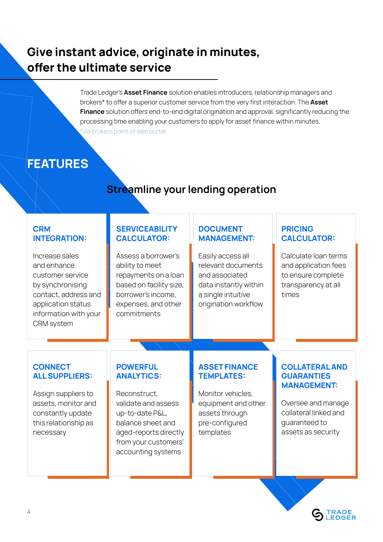### **Give instant advice, originate in minutes, offer the ultimate service**

Trade Ledger's **Asset Finance** solution enables introducers, relationship managers and brokers\* to offer a superior customer service from the very first interaction. The **Asset Finance** solution offers end-to-end digital origination and approval, significantly reducing the processing time enabling your customers to apply for asset finance within minutes. \*via brokers point of sale portal

## **FEATURES**

### **Streamline your lending operation**

### **CRM INTEGRATION:**

Increase sales and enhance customer service by synchronising contact, address and application status information with your CRM system

#### **SERVICEABILITY CALCULATOR:**

Assess a borrower's ability to meet repayments on a loan based on facility size, borrower's income, expenses, and other commitments

### **DOCUMENT MANAGEMENT:**

Easily access all relevant documents and associated data instantly within a single intuitive origination workflow

### **PRICING CALCULATOR:**

Calculate loan terms and application fees to ensure complete transparency at all times

### **CONNECT ALL SUPPLIERS:**

Assign suppliers to assets, monitor and constantly update this relationship as necessary

### **POWERFUL ANALYTICS:**

Reconstruct, validate and assess up-to-date P&L, balance sheet and aged-reports directly from your customers' accounting systems

### **ASSET FINANCE TEMPLATES:**

Monitor vehicles, equipment and other assets through pre-configured templates

#### **COLLATERAL AND GUARANTIES MANAGEMENT:**

Oversee and manage collateral linked and guaranteed to assets as security

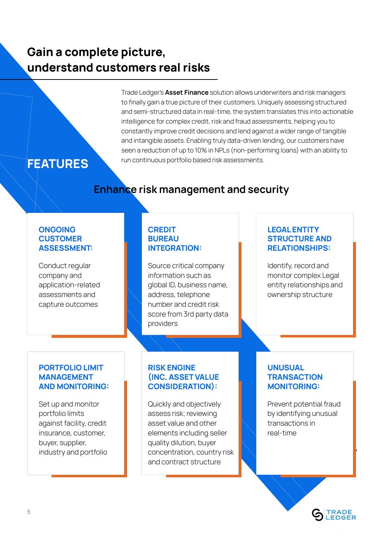### **Gain a complete picture, understand customers real risks**

Trade Ledger's **Asset Finance** solution allows underwriters and risk managers to finally gain a true picture of their customers. Uniquely assessing structured and semi-structured data in real-time, the system translates this into actionable intelligence for complex credit, risk and fraud assessments, helping you to constantly improve credit decisions and lend against a wider range of tangible and intangible assets. Enabling truly data-driven lending, our customers have seen a reduction of up to 10% in NPLs (non-performing loans) with an ability to run continuous portfolio based risk assessments.

### **FEATURES**

### **Enhance risk management and security**

#### **ONGOING CUSTOMER ASSESSMENT:**

Conduct regular company and application-related assessments and capture outcomes

#### **CREDIT BUREAU INTEGRATION:**

Source critical company information such as global ID, business name, address, telephone number and credit risk score from 3rd party data providers

### **LEGAL ENTITY STRUCTURE AND RELATIONSHIPS:**

Identify, record and monitor complex Legal entity relationships and ownership structure

#### **PORTFOLIO LIMIT MANAGEMENT AND MONITORING:**

Set up and monitor portfolio limits against facility, credit insurance, customer, buyer, supplier, industry and portfolio

### **RISK ENGINE (INC. ASSET VALUE CONSIDERATION):**

Quickly and objectively assess risk; reviewing asset value and other elements including seller quality dilution, buyer concentration, country risk and contract structure

### **UNUSUAL TRANSACTION MONITORING:**

Prevent potential fraud by identifying unusual transactions in real-time

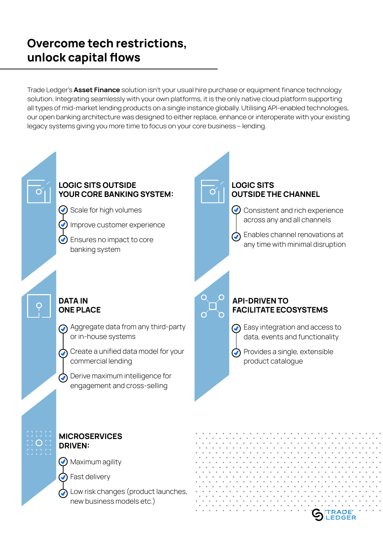### **Overcome tech restrictions, unlock capital flows**

Trade Ledger's **Asset Finance** solution isn't your usual hire purchase or equipment finance technology solution. Integrating seamlessly with your own platforms, it is the only native cloud platform supporting all types of mid-market lending products on a single instance globally. Utilising API-enabled technologies, our open banking architecture was designed to either replace, enhance or interoperate with your existing legacy systems giving you more time to focus on your core business – lending.



Low risk changes (product launches, new business models etc.)

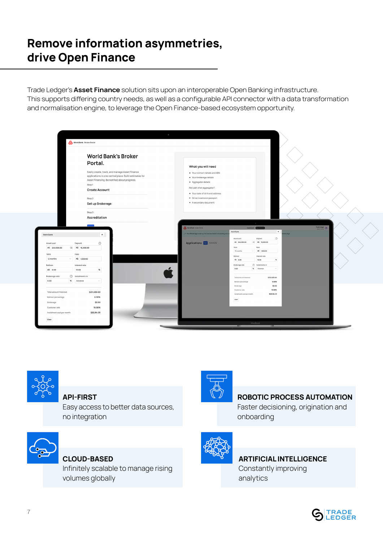### **Remove information asymmetries, drive Open Finance**

Trade Ledger's **Asset Finance** solution sits upon an interoperable Open Banking infrastructure. This supports differing country needs, as well as a configurable API connector with a data transformation and normalisation engine, to leverage the Open Finance-based ecosystem opportunity.

| World Bank Broker Portal                                   |                                                                                                          |                                                                |                                                              |                                             |
|------------------------------------------------------------|----------------------------------------------------------------------------------------------------------|----------------------------------------------------------------|--------------------------------------------------------------|---------------------------------------------|
|                                                            | <b>World Bank's Broker</b>                                                                               |                                                                |                                                              |                                             |
|                                                            | Portal.                                                                                                  | What you will need                                             |                                                              |                                             |
|                                                            | Easily create, track, and manage Asset Finance<br>applications in one central place. Build estimates for | . Your contact details and ABN<br>· Your brokerage details     |                                                              |                                             |
|                                                            | Asset Financing. Be notified about progress.                                                             | · Aggregator details                                           |                                                              |                                             |
|                                                            | Step1                                                                                                    | Not part of an aggregator?                                     |                                                              |                                             |
|                                                            | <b>Create Account</b>                                                                                    | • Your date of birth and address                               |                                                              |                                             |
|                                                            | Step 2                                                                                                   | · Driver Licence or passport                                   |                                                              |                                             |
|                                                            | Set up Brokerage                                                                                         | • A secondary document                                         |                                                              |                                             |
|                                                            |                                                                                                          |                                                                |                                                              |                                             |
|                                                            | Step 3                                                                                                   |                                                                |                                                              |                                             |
|                                                            | Accreditation                                                                                            |                                                                |                                                              |                                             |
|                                                            |                                                                                                          |                                                                |                                                              |                                             |
|                                                            |                                                                                                          | World Bank Broker Portal                                       | Deshboard (Applications)<br>Quick Quote                      | Trade Ledger p<br>$\boldsymbol{\mathsf{x}}$ |
| Quick Quote                                                | $\boldsymbol{\mathsf{x}}$                                                                                | Y Your Brokerage is set up. Our service team is reviewing your |                                                              | ss days.                                    |
|                                                            |                                                                                                          |                                                                | Asset cost<br>Deposit<br>A\$ 245,000.00<br>(3) A\$ 15,000.00 | $^{\circ}$                                  |
| Deposit<br>Asset cost<br>A\$ 245,000.00<br>E A\$ 15,000.00 | $^{\circ}$                                                                                               | Applications <b>No. 00000000</b>                               | Fees<br>Term                                                 |                                             |
|                                                            |                                                                                                          |                                                                | 12 months<br>A\$ 1,500.00<br>$\sim$                          |                                             |
| Fees<br>Term                                               |                                                                                                          |                                                                | Balloon<br>Interest rate                                     |                                             |
| A\$ 1,500.00<br>12 months<br>$\checkmark$                  |                                                                                                          |                                                                | A\$ 0.00<br>10.00<br>$\boldsymbol{\kappa}$                   |                                             |
| Interest rate<br>Balloon                                   |                                                                                                          |                                                                | hstalments in<br>Brokerage rate<br>% Advance<br>0.00         |                                             |
| A\$ 0.00<br>10.00                                          | $\boldsymbol{\kappa}$                                                                                    |                                                                |                                                              |                                             |
| hstalments in<br>Brokerage rate                            |                                                                                                          |                                                                | Total amount financed<br>\$231,500.00                        |                                             |
| 0.00<br>% Advance                                          | $\mathcal{A}$                                                                                            |                                                                | 0.00%<br>Balloon percentage                                  |                                             |
|                                                            |                                                                                                          |                                                                | \$0.00<br>Brokerage<br>10,00%<br>Customer rate               |                                             |
| Total amount financed                                      | \$231,500.00                                                                                             |                                                                | \$20,184.33<br>Instalment cost per month                     |                                             |
|                                                            | 0.00%                                                                                                    |                                                                | Clear                                                        |                                             |
| Balloon percentage                                         | \$0.00                                                                                                   |                                                                |                                                              |                                             |
|                                                            |                                                                                                          |                                                                |                                                              |                                             |
| Brokerage<br>Customer rate                                 | 10.00%                                                                                                   |                                                                |                                                              |                                             |
| Instalment cost per month                                  | \$20,184.33                                                                                              |                                                                |                                                              |                                             |



#### **API-FIRST**

Easy access to better data sources, no integration



### **CLOUD-BASED**

Infinitely scalable to manage rising volumes globally



### **ROBOTIC PROCESS AUTOMATION**

Faster decisioning, origination and onboarding

### **ARTIFICIAL INTELLIGENCE**

Constantly improving analytics